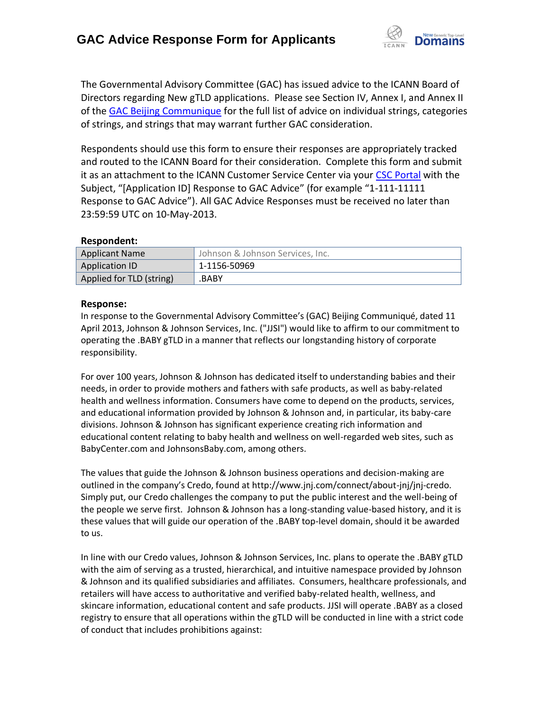

The Governmental Advisory Committee (GAC) has issued advice to the ICANN Board of Directors regarding New gTLD applications. Please see Section IV, Annex I, and Annex II of the [GAC Beijing Communique](http://www.icann.org/en/news/correspondence/gac-to-board-18apr13-en.pdf) for the full list of advice on individual strings, categories of strings, and strings that may warrant further GAC consideration.

Respondents should use this form to ensure their responses are appropriately tracked and routed to the ICANN Board for their consideration. Complete this form and submit it as an attachment to the ICANN Customer Service Center via your CSC [Portal](https://myicann.secure.force.com/) with the Subject, "[Application ID] Response to GAC Advice" (for example "1-111-11111 Response to GAC Advice"). All GAC Advice Responses must be received no later than 23:59:59 UTC on 10-May-2013.

## **Respondent:**

| <b>Applicant Name</b>    | Johnson & Johnson Services, Inc. |
|--------------------------|----------------------------------|
| Application ID           | 1-1156-50969                     |
| Applied for TLD (string) | .BABY                            |

## **Response:**

In response to the Governmental Advisory Committee's (GAC) Beijing Communiqué, dated 11 April 2013, Johnson & Johnson Services, Inc. ("JJSI") would like to affirm to our commitment to operating the .BABY gTLD in a manner that reflects our longstanding history of corporate responsibility.

For over 100 years, Johnson & Johnson has dedicated itself to understanding babies and their needs, in order to provide mothers and fathers with safe products, as well as baby-related health and wellness information. Consumers have come to depend on the products, services, and educational information provided by Johnson & Johnson and, in particular, its baby-care divisions. Johnson & Johnson has significant experience creating rich information and educational content relating to baby health and wellness on well-regarded web sites, such as BabyCenter.com and JohnsonsBaby.com, among others.

The values that guide the Johnson & Johnson business operations and decision-making are outlined in the company's Credo, found at http://www.jnj.com/connect/about-jnj/jnj-credo. Simply put, our Credo challenges the company to put the public interest and the well-being of the people we serve first. Johnson & Johnson has a long-standing value-based history, and it is these values that will guide our operation of the .BABY top-level domain, should it be awarded to us.

In line with our Credo values, Johnson & Johnson Services, Inc. plans to operate the .BABY gTLD with the aim of serving as a trusted, hierarchical, and intuitive namespace provided by Johnson & Johnson and its qualified subsidiaries and affiliates. Consumers, healthcare professionals, and retailers will have access to authoritative and verified baby-related health, wellness, and skincare information, educational content and safe products. JJSI will operate .BABY as a closed registry to ensure that all operations within the gTLD will be conducted in line with a strict code of conduct that includes prohibitions against: